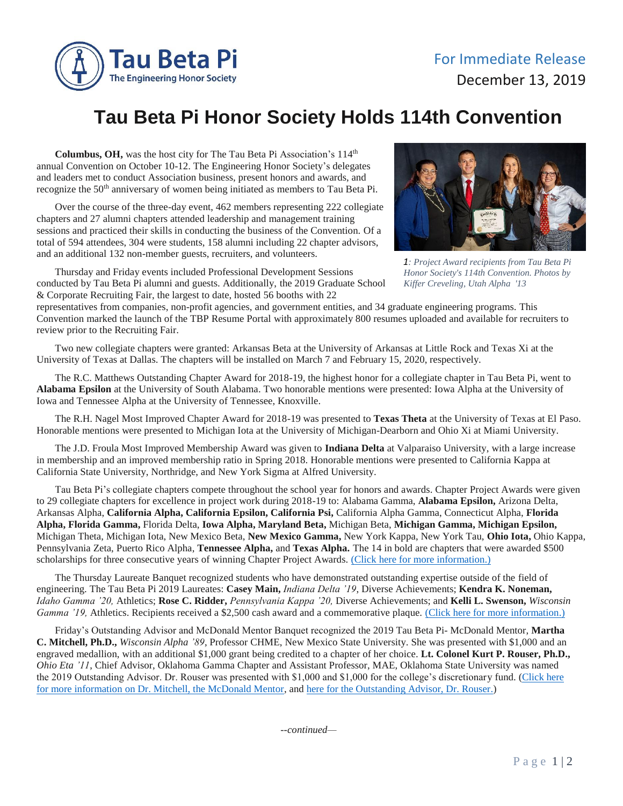

## **Tau Beta Pi Honor Society Holds 114th Convention**

Columbus, OH, was the host city for The Tau Beta Pi Association's 114<sup>th</sup> annual Convention on October 10-12. The Engineering Honor Society's delegates and leaders met to conduct Association business, present honors and awards, and recognize the 50<sup>th</sup> anniversary of women being initiated as members to Tau Beta Pi.

Over the course of the three-day event, 462 members representing 222 collegiate chapters and 27 alumni chapters attended leadership and management training sessions and practiced their skills in conducting the business of the Convention. Of a total of 594 attendees, 304 were students, 158 alumni including 22 chapter advisors, and an additional 132 non-member guests, recruiters, and volunteers.

Thursday and Friday events included Professional Development Sessions conducted by Tau Beta Pi alumni and guests. Additionally, the 2019 Graduate School & Corporate Recruiting Fair, the largest to date, hosted 56 booths with 22



*1: Project Award recipients from Tau Beta Pi Honor Society's 114th Convention. Photos by Kiffer Creveling, Utah Alpha '13*

representatives from companies, non-profit agencies, and government entities, and 34 graduate engineering programs. This Convention marked the launch of the TBP Resume Portal with approximately 800 resumes uploaded and available for recruiters to review prior to the Recruiting Fair.

Two new collegiate chapters were granted: Arkansas Beta at the University of Arkansas at Little Rock and Texas Xi at the University of Texas at Dallas. The chapters will be installed on March 7 and February 15, 2020, respectively.

The R.C. Matthews Outstanding Chapter Award for 2018-19, the highest honor for a collegiate chapter in Tau Beta Pi, went to **Alabama Epsilon** at the University of South Alabama. Two honorable mentions were presented: Iowa Alpha at the University of Iowa and Tennessee Alpha at the University of Tennessee, Knoxville.

The R.H. Nagel Most Improved Chapter Award for 2018-19 was presented to **Texas Theta** at the University of Texas at El Paso. Honorable mentions were presented to Michigan Iota at the University of Michigan-Dearborn and Ohio Xi at Miami University.

The J.D. Froula Most Improved Membership Award was given to **Indiana Delta** at Valparaiso University, with a large increase in membership and an improved membership ratio in Spring 2018. Honorable mentions were presented to California Kappa at California State University, Northridge, and New York Sigma at Alfred University.

Tau Beta Pi's collegiate chapters compete throughout the school year for honors and awards. Chapter Project Awards were given to 29 collegiate chapters for excellence in project work during 2018-19 to: Alabama Gamma, **Alabama Epsilon,** Arizona Delta, Arkansas Alpha, **California Alpha, California Epsilon, California Psi,** California Alpha Gamma, Connecticut Alpha, **Florida Alpha, Florida Gamma,** Florida Delta, **Iowa Alpha, Maryland Beta,** Michigan Beta, **Michigan Gamma, Michigan Epsilon,** Michigan Theta, Michigan Iota, New Mexico Beta, **New Mexico Gamma,** New York Kappa, New York Tau, **Ohio Iota,** Ohio Kappa, Pennsylvania Zeta, Puerto Rico Alpha, **Tennessee Alpha,** and **Texas Alpha.** The 14 in bold are chapters that were awarded \$500 scholarships for three consecutive years of winning Chapter Project Awards. [\(Click here for more information.\)](https://www.tbp.org/off/convAwards19.cfm)

The Thursday Laureate Banquet recognized students who have demonstrated outstanding expertise outside of the field of engineering. The Tau Beta Pi 2019 Laureates: **Casey Main,** *Indiana Delta '19*, Diverse Achievements; **Kendra K. Noneman,** *Idaho Gamma '20,* Athletics; **Rose C. Ridder,** *Pennsylvania Kappa '20,* Diverse Achievements; and **Kelli L. Swenson,** *Wisconsin Gamma '19,* Athletics. Recipients received a \$2,500 cash award and a commemorative plaque. [\(Click here for more information.\)](https://www.tbp.org/memb/LaureatePDFs/2019.pdf)

Friday's Outstanding Advisor and McDonald Mentor Banquet recognized the 2019 Tau Beta Pi- McDonald Mentor, **Martha C. Mitchell, Ph.D.,** *Wisconsin Alpha '89*, Professor CHME, New Mexico State University. She was presented with \$1,000 and an engraved medallion, with an additional \$1,000 grant being credited to a chapter of her choice. **Lt. Colonel Kurt P. Rouser, Ph.D.,** *Ohio Eta '11*, Chief Advisor, Oklahoma Gamma Chapter and Assistant Professor, MAE, Oklahoma State University was named the 2019 Outstanding Advisor. Dr. Rouser was presented with \$1,000 and \$1,000 for the college's discretionary fund. (Click here for more information [on Dr. Mitchell, the McDonald Mentor,](https://www.tbp.org/memb/McDonaldMentorPDFs/2019Mitchell.pdf) and [here for the Outstanding Advisor, Dr. Rouser.\)](https://www.tbp.org/memb/OutstandingAdvisorPDFs/2019Rouser.pdf)

*--continued—*